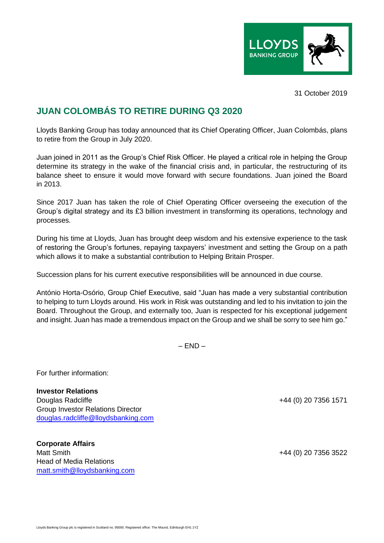

31 October 2019

## **JUAN COLOMBÁS TO RETIRE DURING Q3 2020**

Lloyds Banking Group has today announced that its Chief Operating Officer, Juan Colombás, plans to retire from the Group in July 2020.

Juan joined in 2011 as the Group's Chief Risk Officer. He played a critical role in helping the Group determine its strategy in the wake of the financial crisis and, in particular, the restructuring of its balance sheet to ensure it would move forward with secure foundations. Juan joined the Board in 2013.

Since 2017 Juan has taken the role of Chief Operating Officer overseeing the execution of the Group's digital strategy and its £3 billion investment in transforming its operations, technology and processes.

During his time at Lloyds, Juan has brought deep wisdom and his extensive experience to the task of restoring the Group's fortunes, repaying taxpayers' investment and setting the Group on a path which allows it to make a substantial contribution to Helping Britain Prosper.

Succession plans for his current executive responsibilities will be announced in due course.

António Horta-Osório, Group Chief Executive, said "Juan has made a very substantial contribution to helping to turn Lloyds around. His work in Risk was outstanding and led to his invitation to join the Board. Throughout the Group, and externally too, Juan is respected for his exceptional judgement and insight. Juan has made a tremendous impact on the Group and we shall be sorry to see him go."

 $-$  END  $-$ 

For further information:

**Investor Relations** Douglas Radcliffe +44 (0) 20 7356 1571 Group Investor Relations Director [douglas.radcliffe@lloydsbanking.com](mailto:douglas.radcliffe@lloydsbanking.com)

**Corporate Affairs** Matt Smith  $+44$  (0) 20 7356 3522 Head of Media Relations [matt.smith@lloydsbanking.com](mailto:matt.smith@lloydsbanking.com)